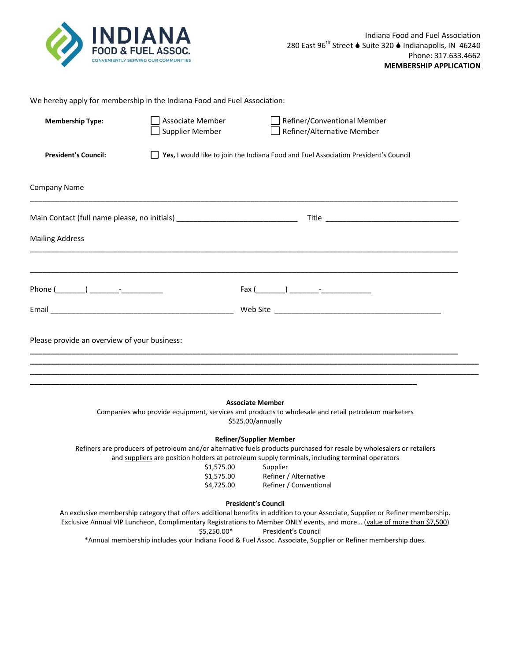

| We hereby apply for membership in the Indiana Food and Fuel Association:         |                                                                                     |                                                           |  |  |  |
|----------------------------------------------------------------------------------|-------------------------------------------------------------------------------------|-----------------------------------------------------------|--|--|--|
| <b>Membership Type:</b>                                                          | Associate Member<br>Supplier Member                                                 | Refiner/Conventional Member<br>Refiner/Alternative Member |  |  |  |
| <b>President's Council:</b>                                                      | Yes, I would like to join the Indiana Food and Fuel Association President's Council |                                                           |  |  |  |
| <b>Company Name</b>                                                              |                                                                                     |                                                           |  |  |  |
| Main Contact (full name please, no initials) ___________________________________ |                                                                                     |                                                           |  |  |  |
| <b>Mailing Address</b>                                                           |                                                                                     |                                                           |  |  |  |
|                                                                                  |                                                                                     |                                                           |  |  |  |
|                                                                                  |                                                                                     |                                                           |  |  |  |
| Please provide an overview of your business:                                     |                                                                                     |                                                           |  |  |  |
|                                                                                  |                                                                                     |                                                           |  |  |  |
|                                                                                  |                                                                                     |                                                           |  |  |  |

## **Associate Member**

Companies who provide equipment, services and products to wholesale and retail petroleum marketers \$525.00/annually

## **Refiner/Supplier Member**

Refiners are producers of petroleum and/or alternative fuels products purchased for resale by wholesalers or retailers and suppliers are position holders at petroleum supply terminals, including terminal operators

| \$1,575.00 | Supplier               |
|------------|------------------------|
| \$1,575.00 | Refiner / Alternative  |
| \$4,725.00 | Refiner / Conventional |

## **President's Council**

An exclusive membership category that offers additional benefits in addition to your Associate, Supplier or Refiner membership. Exclusive Annual VIP Luncheon, Complimentary Registrations to Member ONLY events, and more... (value of more than \$7,500) \$5,250.00\* President's Council

\*Annual membership includes your Indiana Food & Fuel Assoc. Associate, Supplier or Refiner membership dues.